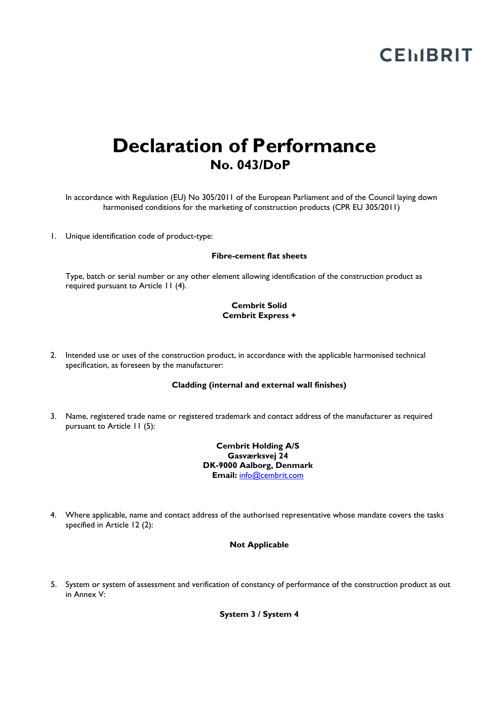# **CEMBRIT**

# **Declaration of Performance No. 043/DoP**

In accordance with Regulation (EU) No 305/2011 of the European Parliament and of the Council laying down harmonised conditions for the marketing of construction products (CPR EU 305/2011)

1. Unique identification code of product-type:

#### **Fibre-cement flat sheets**

Type, batch or serial number or any other element allowing identification of the construction product as required pursuant to Article 11 (4).

### **Cembrit Solid Cembrit Express +**

2. Intended use or uses of the construction product, in accordance with the applicable harmonised technical specification, as foreseen by the manufacturer:

# **Cladding (internal and external wall finishes)**

3. Name, registered trade name or registered trademark and contact address of the manufacturer as required pursuant to Article 11 (5):

> **Cembrit Holding A/S Gasværksvej 24 DK-9000 Aalborg, Denmark Email:** [info@cembrit.com](mailto:info@cembrit.com)

4. Where applicable, name and contact address of the authorised representative whose mandate covers the tasks specified in Article 12 (2):

#### **Not Applicable**

5. System or system of assessment and verification of constancy of performance of the construction product as out in Annex V:

**System 3 / System 4**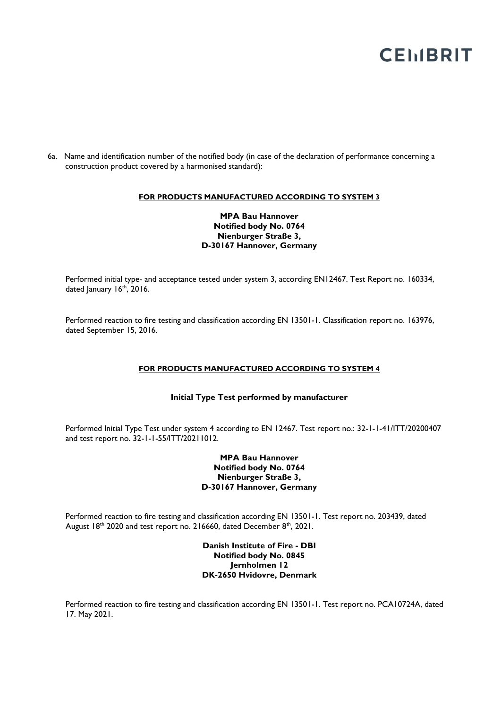# **CEMBRIT**

6a. Name and identification number of the notified body (in case of the declaration of performance concerning a construction product covered by a harmonised standard):

#### **FOR PRODUCTS MANUFACTURED ACCORDING TO SYSTEM 3**

# **MPA Bau Hannover Notified body No. 0764 Nienburger Straße 3, D-30167 Hannover, Germany**

Performed initial type- and acceptance tested under system 3, according EN12467. Test Report no. 160334, dated January 16<sup>th</sup>, 2016.

Performed reaction to fire testing and classification according EN 13501-1. Classification report no. 163976, dated September 15, 2016.

### **FOR PRODUCTS MANUFACTURED ACCORDING TO SYSTEM 4**

#### **Initial Type Test performed by manufacturer**

Performed Initial Type Test under system 4 according to EN 12467. Test report no.: 32-1-1-41/ITT/20200407 and test report no. 32-1-1-55/ITT/20211012.

# **MPA Bau Hannover Notified body No. 0764 Nienburger Straße 3, D-30167 Hannover, Germany**

Performed reaction to fire testing and classification according EN 13501-1. Test report no. 203439, dated August  $18<sup>th</sup>$  2020 and test report no. 216660, dated December  $8<sup>th</sup>$ , 2021.

> **Danish Institute of Fire - DBI Notified body No. 0845 Jernholmen 12 DK-2650 Hvidovre, Denmark**

Performed reaction to fire testing and classification according EN 13501-1. Test report no. PCA10724A, dated 17. May 2021.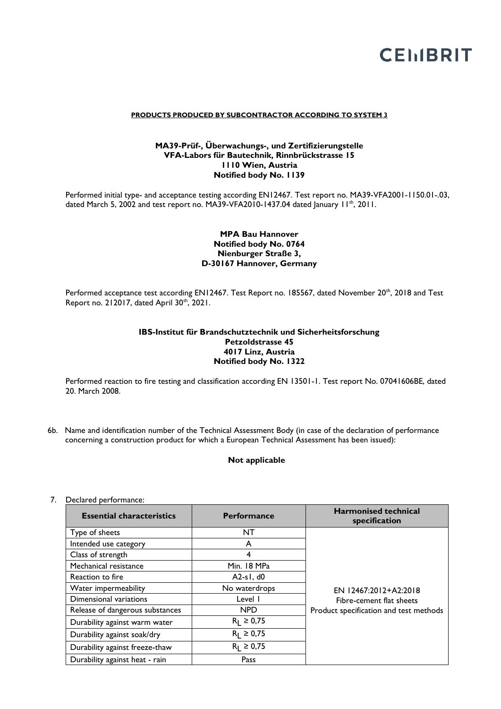

#### **PRODUCTS PRODUCED BY SUBCONTRACTOR ACCORDING TO SYSTEM 3**

# **MA39-Prüf-, Überwachungs-, und Zertifizierungstelle VFA-Labors für Bautechnik, Rinnbrückstrasse 15 1110 Wien, Austria Notified body No. 1139**

Performed initial type- and acceptance testing according EN12467. Test report no. MA39-VFA2001-1150.01-.03, dated March 5, 2002 and test report no. MA39-VFA2010-1437.04 dated January  $11^{th}$ , 2011.

# **MPA Bau Hannover Notified body No. 0764 Nienburger Straße 3, D-30167 Hannover, Germany**

Performed acceptance test according EN12467. Test Report no. 185567, dated November 20<sup>th</sup>, 2018 and Test Report no. 212017, dated April 30<sup>th</sup>, 2021.

# **IBS-Institut für Brandschutztechnik und Sicherheitsforschung Petzoldstrasse 45 4017 Linz, Austria Notified body No. 1322**

Performed reaction to fire testing and classification according EN 13501-1. Test report No. 07041606BE, dated 20. March 2008.

6b. Name and identification number of the Technical Assessment Body (in case of the declaration of performance concerning a construction product for which a European Technical Assessment has been issued):

## **Not applicable**

# 7. Declared performance:

| <b>Essential characteristics</b> | <b>Performance</b> | <b>Harmonised technical</b><br>specification |
|----------------------------------|--------------------|----------------------------------------------|
| Type of sheets                   | NT                 |                                              |
| Intended use category            | A                  |                                              |
| Class of strength                | 4                  |                                              |
| Mechanical resistance            | Min. 18 MPa        |                                              |
| Reaction to fire                 | $A2-s1, d0$        |                                              |
| Water impermeability             | No waterdrops      | EN 12467:2012+A2:2018                        |
| Dimensional variations           | Level I            | Fibre-cement flat sheets                     |
| Release of dangerous substances  | <b>NPD</b>         | Product specification and test methods       |
| Durability against warm water    | $R_1 \ge 0.75$     |                                              |
| Durability against soak/dry      | $R_1 \ge 0.75$     |                                              |
| Durability against freeze-thaw   | $R_1 \ge 0.75$     |                                              |
| Durability against heat - rain   | Pass               |                                              |